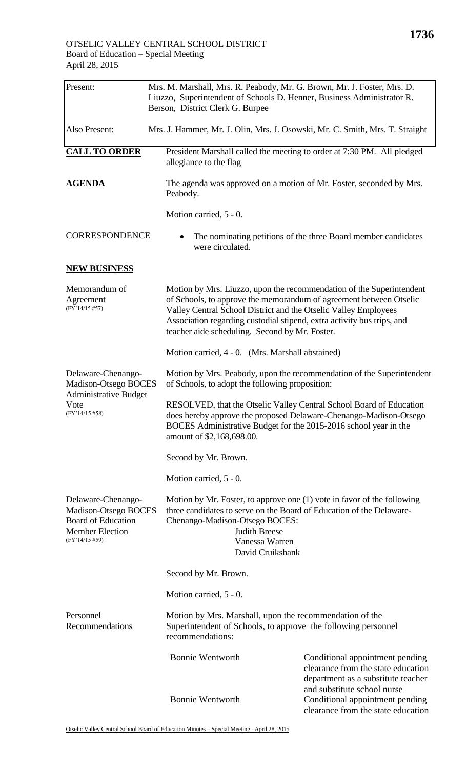| Present:                                                                                                            | Berson, District Clerk G. Burpee                                                                                                             | Mrs. M. Marshall, Mrs. R. Peabody, Mr. G. Brown, Mr. J. Foster, Mrs. D.<br>Liuzzo, Superintendent of Schools D. Henner, Business Administrator R.                                                                                                                                                                                         |  |
|---------------------------------------------------------------------------------------------------------------------|----------------------------------------------------------------------------------------------------------------------------------------------|-------------------------------------------------------------------------------------------------------------------------------------------------------------------------------------------------------------------------------------------------------------------------------------------------------------------------------------------|--|
| Also Present:                                                                                                       |                                                                                                                                              | Mrs. J. Hammer, Mr. J. Olin, Mrs. J. Osowski, Mr. C. Smith, Mrs. T. Straight                                                                                                                                                                                                                                                              |  |
| <b>CALL TO ORDER</b>                                                                                                | allegiance to the flag                                                                                                                       | President Marshall called the meeting to order at 7:30 PM. All pledged                                                                                                                                                                                                                                                                    |  |
| <b>AGENDA</b>                                                                                                       | Peabody.                                                                                                                                     | The agenda was approved on a motion of Mr. Foster, seconded by Mrs.                                                                                                                                                                                                                                                                       |  |
|                                                                                                                     | Motion carried, 5 - 0.                                                                                                                       |                                                                                                                                                                                                                                                                                                                                           |  |
| <b>CORRESPONDENCE</b>                                                                                               | were circulated.                                                                                                                             | The nominating petitions of the three Board member candidates                                                                                                                                                                                                                                                                             |  |
| <b>NEW BUSINESS</b>                                                                                                 |                                                                                                                                              |                                                                                                                                                                                                                                                                                                                                           |  |
| Memorandum of<br>Agreement<br>$(FY'14/15\#57)$                                                                      |                                                                                                                                              | Motion by Mrs. Liuzzo, upon the recommendation of the Superintendent<br>of Schools, to approve the memorandum of agreement between Otselic<br>Valley Central School District and the Otselic Valley Employees<br>Association regarding custodial stipend, extra activity bus trips, and<br>teacher aide scheduling. Second by Mr. Foster. |  |
|                                                                                                                     |                                                                                                                                              | Motion carried, 4 - 0. (Mrs. Marshall abstained)                                                                                                                                                                                                                                                                                          |  |
| Delaware-Chenango-<br>Madison-Otsego BOCES<br><b>Administrative Budget</b>                                          |                                                                                                                                              | Motion by Mrs. Peabody, upon the recommendation of the Superintendent<br>of Schools, to adopt the following proposition:                                                                                                                                                                                                                  |  |
| Vote<br>$(FY'14/15\#58)$                                                                                            | amount of \$2,168,698.00.                                                                                                                    | RESOLVED, that the Otselic Valley Central School Board of Education<br>does hereby approve the proposed Delaware-Chenango-Madison-Otsego<br>BOCES Administrative Budget for the 2015-2016 school year in the                                                                                                                              |  |
|                                                                                                                     | Second by Mr. Brown.                                                                                                                         |                                                                                                                                                                                                                                                                                                                                           |  |
|                                                                                                                     | Motion carried, 5 - 0.                                                                                                                       |                                                                                                                                                                                                                                                                                                                                           |  |
| Delaware-Chenango-<br>Madison-Otsego BOCES<br><b>Board of Education</b><br><b>Member Election</b><br>(FY'14/15 #59) |                                                                                                                                              | Motion by Mr. Foster, to approve one (1) vote in favor of the following<br>three candidates to serve on the Board of Education of the Delaware-<br>Chenango-Madison-Otsego BOCES:<br><b>Judith Breese</b><br>Vanessa Warren<br>David Cruikshank                                                                                           |  |
|                                                                                                                     | Second by Mr. Brown.                                                                                                                         |                                                                                                                                                                                                                                                                                                                                           |  |
|                                                                                                                     | Motion carried, 5 - 0.                                                                                                                       |                                                                                                                                                                                                                                                                                                                                           |  |
| Personnel<br>Recommendations                                                                                        | Motion by Mrs. Marshall, upon the recommendation of the<br>Superintendent of Schools, to approve the following personnel<br>recommendations: |                                                                                                                                                                                                                                                                                                                                           |  |
|                                                                                                                     | <b>Bonnie Wentworth</b>                                                                                                                      | Conditional appointment pending<br>clearance from the state education<br>department as a substitute teacher                                                                                                                                                                                                                               |  |
|                                                                                                                     | <b>Bonnie Wentworth</b>                                                                                                                      | and substitute school nurse<br>Conditional appointment pending<br>clearance from the state education                                                                                                                                                                                                                                      |  |